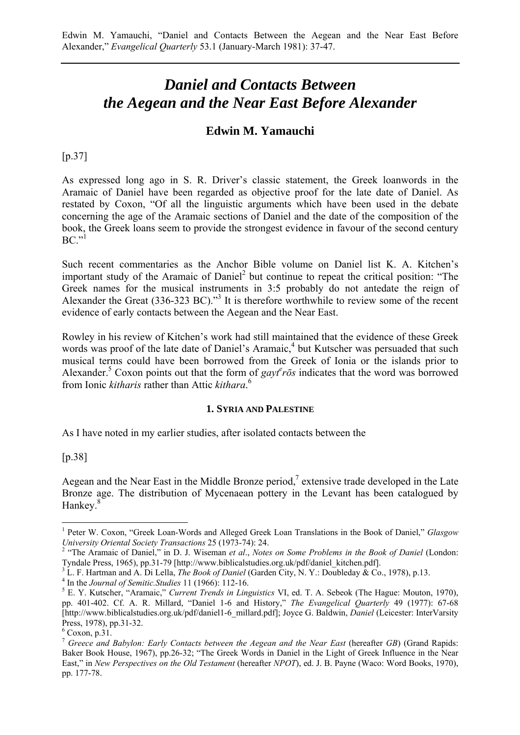# *Daniel and Contacts Between the Aegean and the Near East Before Alexander*

## **Edwin M. Yamauchi**

## [p.37]

As expressed long ago in S. R. Driver's classic statement, the Greek loanwords in the Aramaic of Daniel have been regarded as objective proof for the late date of Daniel. As restated by Coxon, "Of all the linguistic arguments which have been used in the debate concerning the age of the Aramaic sections of Daniel and the date of the composition of the book, the Greek loans seem to provide the strongest evidence in favour of the second century  $BC.$ <sup>"1</sup>

Such recent commentaries as the Anchor Bible volume on Daniel list K. A. Kitchen's important study of the Aramaic of Daniel<sup>2</sup> but continue to repeat the critical position: "The Greek names for the musical instruments in 3:5 probably do not antedate the reign of Alexander the Great (336-323 BC)."<sup>3</sup> It is therefore worthwhile to review some of the recent evidence of early contacts between the Aegean and the Near East.

Rowley in his review of Kitchen's work had still maintained that the evidence of these Greek words was proof of the late date of Daniel's Aramaic,<sup>4</sup> but Kutscher was persuaded that such musical terms could have been borrowed from the Greek of Ionia or the islands prior to Alexander.<sup>5</sup> Coxon points out that the form of  $gayt^e\bar{r}\bar{o}s$  indicates that the word was borrowed from Ionic *kitharis* rather than Attic *kithara*. 6

#### **1. SYRIA AND PALESTINE**

As I have noted in my earlier studies, after isolated contacts between the

[p.38]

 $\overline{a}$ 

Aegean and the Near East in the Middle Bronze period,<sup>7</sup> extensive trade developed in the Late Bronze age. The distribution of Mycenaean pottery in the Levant has been catalogued by Hankey.<sup>8</sup>

<sup>&</sup>lt;sup>1</sup> Peter W. Coxon, "Greek Loan-Words and Alleged Greek Loan Translations in the Book of Daniel," *Glasgow University Oriental Society Transactions* 25 (1973-74): 24.<br><sup>2</sup> "The Aramaic of Daniel," in D. J. Wiseman *et al., Notes on Some Problems in the Book of Daniel* (London:

Tyndale Press, 1965), pp.31-79 [\[http://www.biblicalstudies.org.uk/pdf/daniel\\_kitchen.pdf\].](http://www.biblicalstudies.org.uk/pdf/daniel_kitchen.pdf)

<sup>&</sup>lt;sup>3</sup> L. F. Hartman and A. Di Lella, *The Book of Daniel* (Garden City, N. Y.: Doubleday  $\&$  Co., 1978), p.13.

<sup>&</sup>lt;sup>4</sup> In the *Journal of Semitic.Studies* 11 (1966): 112-16.

E. Y. Kutscher, "Aramaic," *Current Trends in Linguistics* VI, ed. T. A. Sebeok (The Hague: Mouton, 1970), pp. 401-402. Cf. A. R. Millard, "Daniel 1-6 and History," *The Evangelical Quarterly* 49 (1977): 67-68 [\[http://www.biblicalstudies.org.uk/pdf/daniel1-6\\_millard.pdf\]; Jo](http://www.biblicalstudies.org.uk/pdf/daniel1-6_millard.pdf)yce G. Baldwin, *Daniel* (Leicester: InterVarsity Press, 1978), pp.31-32.

 $6$  Coxon, p.31.

<sup>7</sup> *Greece and Babylon: Early Contacts between the Aegean and the Near East* (hereafter *GB*) (Grand Rapids: Baker Book House, 1967), pp.26-32; "The Greek Words in Daniel in the Light of Greek Influence in the Near East," in *New Perspectives on the Old Testament* (hereafter *NPOT*), ed. J. B. Payne (Waco: Word Books, 1970), pp. 177-78.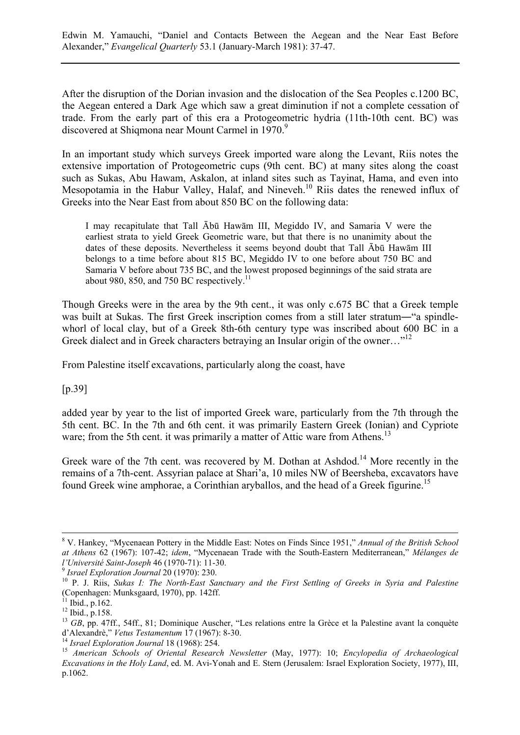After the disruption of the Dorian invasion and the dislocation of the Sea Peoples c.1200 BC, the Aegean entered a Dark Age which saw a great diminution if not a complete cessation of trade. From the early part of this era a Protogeometric hydria (11th-10th cent. BC) was discovered at Shigmona near Mount Carmel in 1970.<sup>9</sup>

In an important study which surveys Greek imported ware along the Levant, Riis notes the extensive importation of Protogeometric cups (9th cent. BC) at many sites along the coast such as Sukas, Abu Hawam, Askalon, at inland sites such as Tayinat, Hama, and even into Mesopotamia in the Habur Valley, Halaf, and Nineveh.<sup>10</sup> Riis dates the renewed influx of Greeks into the Near East from about 850 BC on the following data:

I may recapitulate that Tall Ābū Hawām III, Megiddo IV, and Samaria V were the earliest strata to yield Greek Geometric ware, but that there is no unanimity about the dates of these deposits. Nevertheless it seems beyond doubt that Tall Ābū Hawām III belongs to a time before about 815 BC, Megiddo IV to one before about 750 BC and Samaria V before about 735 BC, and the lowest proposed beginnings of the said strata are about 980, 850, and 750 BC respectively.<sup>11</sup>

Though Greeks were in the area by the 9th cent., it was only c.675 BC that a Greek temple was built at Sukas. The first Greek inscription comes from a still later stratum—"a spindlewhorl of local clay, but of a Greek 8th-6th century type was inscribed about 600 BC in a Greek dialect and in Greek characters betraving an Insular origin of the owner…"<sup>12</sup>

From Palestine itself excavations, particularly along the coast, have

[p.39]

added year by year to the list of imported Greek ware, particularly from the 7th through the 5th cent. BC. In the 7th and 6th cent. it was primarily Eastern Greek (Ionian) and Cypriote ware; from the 5th cent. it was primarily a matter of Attic ware from Athens.<sup>13</sup>

Greek ware of the 7th cent. was recovered by M. Dothan at Ashdod.<sup>14</sup> More recently in the remains of a 7th-cent. Assyrian palace at Shari'a, 10 miles NW of Beersheba, excavators have found Greek wine amphorae, a Corinthian aryballos, and the head of a Greek figurine.<sup>15</sup>

 <sup>8</sup> V. Hankey, "Mycenaean Pottery in the Middle East: Notes on Finds Since 1951," *Annual of the British School at Athens* 62 (1967): 107-42; *idem*, "Mycenaean Trade with the South-Eastern Mediterranean," *Mélanges de*

<sup>&</sup>lt;sup>9</sup> Israel Exploration Journal 20 (1970): 230.<br><sup>10</sup> P. J. Riis, *Sukas I: The North-East Sanctuary and the First Settling of Greeks in Syria and Palestine* (Copenhagen: Munksgaard, 1970), pp. 142ff.

 $^{11}$  Ibid., p.162.

<sup>12</sup> Ibid., p.158.

<sup>&</sup>lt;sup>13</sup> *GB*, pp. 47ff., 54ff., 81; Dominique Auscher, "Les relations entre la Grèce et la Palestine avant la conquète d'Alexandrè," *Vetus Testamentum* 17 (1967): 8-30. <sup>14</sup> *Israel Exploration Journal* 18 (1968): 254. <sup>15</sup> *American Schools of Oriental Research Newsletter* (May, 1977): 10; *Encylopedia of Archaeological*

*Excavations in the Holy Land*, ed. M. Avi-Yonah and E. Stern (Jerusalem: Israel Exploration Society, 1977), III, p.1062.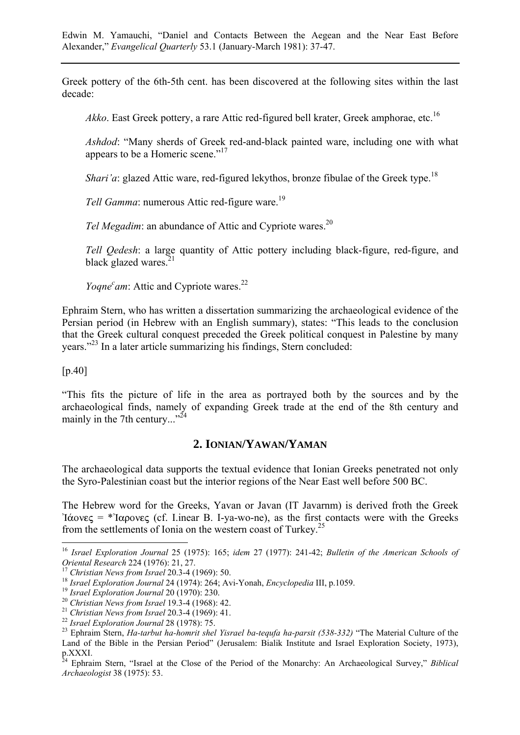Greek pottery of the 6th-5th cent. has been discovered at the following sites within the last decade:

*Akko*. East Greek pottery, a rare Attic red-figured bell krater. Greek amphorae, etc.<sup>16</sup>

*Ashdod*: "Many sherds of Greek red-and-black painted ware, including one with what appears to be a Homeric scene."<sup>17</sup>

*Shari'a*: glazed Attic ware, red-figured lekythos, bronze fibulae of the Greek type.<sup>18</sup>

*Tell Gamma*: numerous Attic red-figure ware.<sup>19</sup>

*Tel Megadim*: an abundance of Attic and Cypriote wares.<sup>20</sup>

*Tell Qedesh*: a large quantity of Attic pottery including black-figure, red-figure, and black glazed wares. $2<sup>2</sup>$ 

*Yoqne<sup>c</sup>am*: Attic and Cypriote wares.<sup>22</sup>

Ephraim Stern, who has written a dissertation summarizing the archaeological evidence of the Persian period (in Hebrew with an English summary), states: "This leads to the conclusion that the Greek cultural conquest preceded the Greek political conquest in Palestine by many years."23 In a later article summarizing his findings, Stern concluded:

[p.40]

 $\overline{a}$ 

"This fits the picture of life in the area as portrayed both by the sources and by the archaeological finds, namely of expanding Greek trade at the end of the 8th century and mainly in the 7th century..."<sup>24</sup>

## **2. IONIAN/YAWAN/YAMAN**

The archaeological data supports the textual evidence that Ionian Greeks penetrated not only the Syro-Palestinian coast but the interior regions of the Near East well before 500 BC.

The Hebrew word for the Greeks, Yavan or Javan (IT Javarnm) is derived froth the Greek 'I $\alpha$ ovec = \*'I $\alpha$ povec (cf. I.inear B. I-ya-wo-ne), as the first contacts were with the Greeks from the settlements of Ionia on the western coast of Turkey.<sup>25</sup>

<sup>16</sup> *Israel Exploration Journal* 25 (1975): 165; *idem* 27 (1977): 241-42; *Bulletin of the American Schools of* Oriental Research 224 (1976): 21, 27.<br>
<sup>17</sup> Christian News from Israel 20.3-4 (1969): 50.<br>
<sup>18</sup> Israel Exploration Journal 24 (1974): 264; Avi-Yonah, Encyclopedia III, p.1059.<br>
<sup>19</sup> Israel Exploration Journal 20 (1970): 2

Land of the Bible in the Persian Period" (Jerusalem: Bialik Institute and Israel Exploration Society, 1973), p.XXXI.

<sup>24</sup> Ephraim Stern, "Israel at the Close of the Period of the Monarchy: An Archaeological Survey," *Biblical Archaeologist* 38 (1975): 53.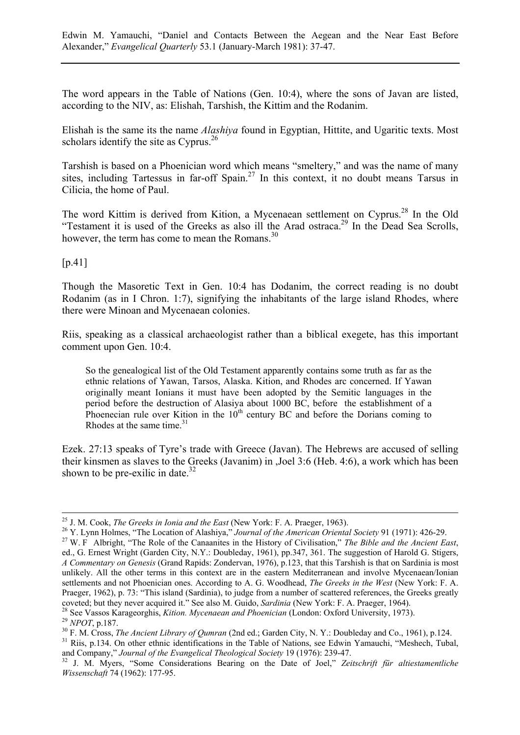The word appears in the Table of Nations (Gen. 10:4), where the sons of Javan are listed, according to the NIV, as: Elishah, Tarshish, the Kittim and the Rodanim.

Elishah is the same its the name *Alashiya* found in Egyptian, Hittite, and Ugaritic texts. Most scholars identify the site as  $Cvprus.<sup>26</sup>$ 

Tarshish is based on a Phoenician word which means "smeltery," and was the name of many sites, including Tartessus in far-off  $Spain<sup>27</sup>$  In this context, it no doubt means Tarsus in Cilicia, the home of Paul.

The word Kittim is derived from Kition, a Mycenaean settlement on Cyprus.<sup>28</sup> In the Old "Testament it is used of the Greeks as also ill the Arad ostraca.<sup>29</sup> In the Dead Sea Scrolls, however, the term has come to mean the Romans.<sup>30</sup>

[p.41]

Though the Masoretic Text in Gen. 10:4 has Dodanim, the correct reading is no doubt Rodanim (as in I Chron. 1:7), signifying the inhabitants of the large island Rhodes, where there were Minoan and Mycenaean colonies.

Riis, speaking as a classical archaeologist rather than a biblical exegete, has this important comment upon Gen. 10:4.

So the genealogical list of the Old Testament apparently contains some truth as far as the ethnic relations of Yawan, Tarsos, Alaska. Kition, and Rhodes arc concerned. If Yawan originally meant Ionians it must have been adopted by the Semitic languages in the period before the destruction of Alasiya about 1000 BC, before the establishment of a Phoenecian rule over Kition in the  $10<sup>th</sup>$  century BC and before the Dorians coming to Rhodes at the same time.<sup>31</sup>

Ezek. 27:13 speaks of Tyre's trade with Greece (Javan). The Hebrews are accused of selling their kinsmen as slaves to the Greeks (Javanim) in ,Joel 3:6 (Heb. 4:6), a work which has been shown to be pre-exilic in date. $32$ 

and Company," *Journal of the Evangelical Theological Society* 19 (1976): 239-47. 32 J. M. Myers, "Some Considerations Bearing on the Date of Joel," *Zeitschrift für altiestamentliche*

<sup>&</sup>lt;sup>25</sup> J. M. Cook, *The Greeks in Ionia and the East* (New York: F. A. Praeger, 1963).<br><sup>26</sup> Y. Lynn Holmes, "The Location of Alashiya," *Journal of the American Oriental Society* 91 (1971): 426-29.<br><sup>27</sup> W. F Albright, "The ed., G. Ernest Wright (Garden City, N.Y.: Doubleday, 1961), pp.347, 361. The suggestion of Harold G. Stigers, *A Commentary on Genesis* (Grand Rapids: Zondervan, 1976), p.123, that this Tarshish is that on Sardinia is most unlikely. All the other terms in this context are in the eastern Mediterranean and involve Mycenaean/Ionian settlements and not Phoenician ones. According to A. G. Woodhead, *The Greeks in the West* (New York: F. A. Praeger, 1962), p. 73: "This island (Sardinia), to judge from a number of scattered references, the Greeks greatly coveted; but they never acquired it." See also M. Guido, *Sardinia* (New York: F. A. Praeger, 1964).<br><sup>28</sup> See Vassos Karageorghis, *Kition. Mycenaean and Phoenician* (London: Oxford University, 1973).<br><sup>29</sup> NPOT, p.187.<br><sup>30</sup>

*Wissenschaft* 74 (1962): 177-95.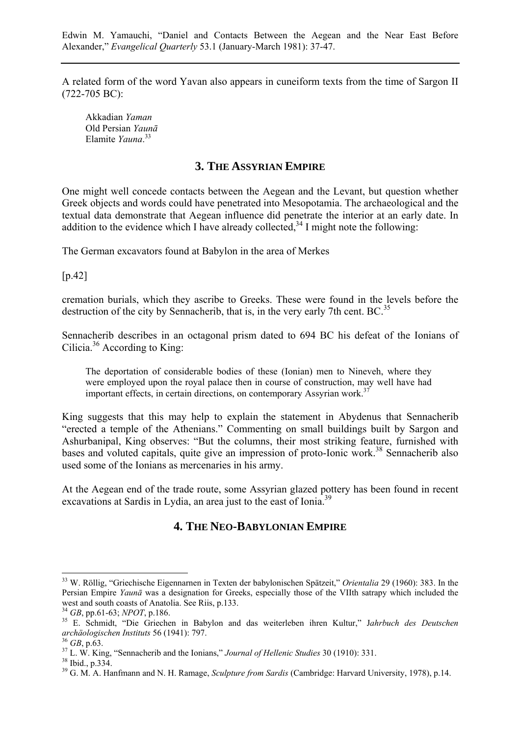A related form of the word Yavan also appears in cuneiform texts from the time of Sargon II (722-705 BC):

Akkadian *Yaman* Old Persian *Yaunā* Elamite *Yauna*. 33

#### **3. THE ASSYRIAN EMPIRE**

One might well concede contacts between the Aegean and the Levant, but question whether Greek objects and words could have penetrated into Mesopotamia. The archaeological and the textual data demonstrate that Aegean influence did penetrate the interior at an early date. In addition to the evidence which I have already collected,  $34$  I might note the following:

The German excavators found at Babylon in the area of Merkes

[p.42]

cremation burials, which they ascribe to Greeks. These were found in the levels before the destruction of the city by Sennacherib, that is, in the very early 7th cent. BC  $^{35}$ 

Sennacherib describes in an octagonal prism dated to 694 BC his defeat of the Ionians of Cilicia.36 According to King:

The deportation of considerable bodies of these (Ionian) men to Nineveh, where they were employed upon the royal palace then in course of construction, may well have had important effects, in certain directions, on contemporary Assyrian work.<sup>37</sup>

King suggests that this may help to explain the statement in Abydenus that Sennacherib "erected a temple of the Athenians." Commenting on small buildings built by Sargon and Ashurbanipal, King observes: "But the columns, their most striking feature, furnished with bases and voluted capitals, quite give an impression of proto-Ionic work.<sup>38</sup> Sennacherib also used some of the Ionians as mercenaries in his army.

At the Aegean end of the trade route, some Assyrian glazed pottery has been found in recent excavations at Sardis in Lydia, an area just to the east of Ionia.<sup>39</sup>

## **4. THE NEO-BABYLONIAN EMPIRE**

<sup>33</sup> W. Röllig, "Griechische Eigennarnen in Texten der babylonischen Spätzeit," *Orientalia* 29 (1960): 383. In the Persian Empire *Yaunā* was a designation for Greeks, especially those of the VIIth satrapy which included the west and south coasts of Anatolia. See Riis, p.133.<br><sup>34</sup> *GB*, pp.61-63; *NPOT*, p.186.

<sup>34</sup> *GB*, pp.61-63; *NPOT*, p.186. 35 E. Schmidt, "Die Griechen in Babylon and das weiterleben ihren Kultur," J*ahrbuch des Deutschen archäologischen Instituts* 56 (1941): 797.<br><sup>36</sup> *GB*, p.63.<br><sup>37</sup> L. W. King, "Sennacherib and the Ionians," *Journal of Hellenic Studies* 30 (1910): 331.<br><sup>38</sup> Ibid., p.334.

<sup>39</sup> G. M. A. Hanfmann and N. H. Ramage, *Sculpture from Sardis* (Cambridge: Harvard University, 1978), p.14.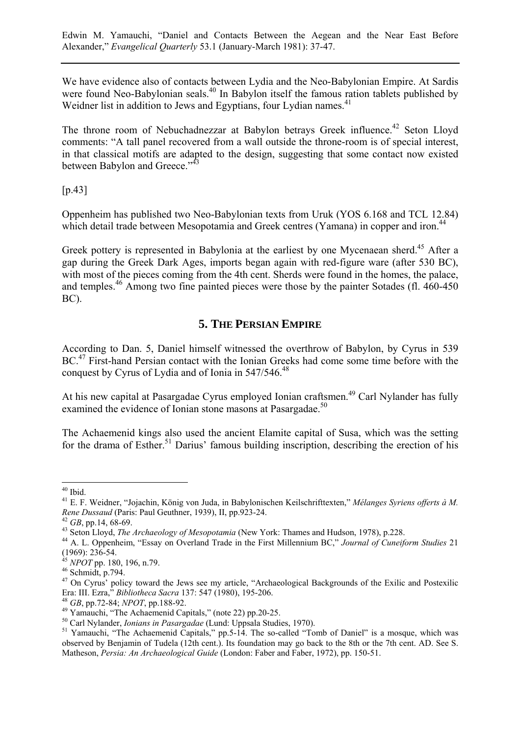We have evidence also of contacts between Lydia and the Neo-Babylonian Empire. At Sardis were found Neo-Babylonian seals.<sup>40</sup> In Babylon itself the famous ration tablets published by Weidner list in addition to Jews and Egyptians, four Lydian names.<sup>41</sup>

The throne room of Nebuchadnezzar at Babylon betrays Greek influence.<sup>42</sup> Seton Lloyd comments: "A tall panel recovered from a wall outside the throne-room is of special interest, in that classical motifs are adapted to the design, suggesting that some contact now existed between Babylon and Greece."<sup>43</sup>

[p.43]

Oppenheim has published two Neo-Babylonian texts from Uruk (YOS 6.168 and TCL 12.84) which detail trade between Mesopotamia and Greek centres (Yamana) in copper and iron.<sup>44</sup>

Greek pottery is represented in Babylonia at the earliest by one Mycenaean sherd.<sup>45</sup> After a gap during the Greek Dark Ages, imports began again with red-figure ware (after 530 BC), with most of the pieces coming from the 4th cent. Sherds were found in the homes, the palace, and temples.<sup>46</sup> Among two fine painted pieces were those by the painter Sotades (fl. 460-450) BC).

# **5. THE PERSIAN EMPIRE**

According to Dan. 5, Daniel himself witnessed the overthrow of Babylon, by Cyrus in 539 BC.<sup>47</sup> First-hand Persian contact with the Ionian Greeks had come some time before with the conquest by Cyrus of Lydia and of Ionia in 547/546.<sup>48</sup>

At his new capital at Pasargadae Cyrus employed Ionian craftsmen.<sup>49</sup> Carl Nylander has fully examined the evidence of Ionian stone masons at Pasargadae.<sup>50</sup>

The Achaemenid kings also used the ancient Elamite capital of Susa, which was the setting for the drama of Esther.<sup>51</sup> Darius' famous building inscription, describing the erection of his

 $40$  Ibid.

<sup>41</sup> E. F. Weidner, "Jojachin, König von Juda, in Babylonischen Keilschrifttexten," *Mélanges Syriens offerts à M.* Rene Dussaud (Paris: Paul Geuthner, 1939), II, pp.923-24.<br><sup>42</sup> GB, pp.14, 68-69.<br><sup>43</sup> Seton Lloyd, *The Archaeology of Mesopotamia* (New York: Thames and Hudson, 1978), p.228.<br><sup>44</sup> A. L. Oppenheim, "Essay on Overland Trade

<sup>(1969): 236-54.</sup>

<sup>&</sup>lt;sup>45</sup> *NPOT* pp. 180, 196, n.79.<br><sup>46</sup> Schmidt, p.794.

<sup>&</sup>lt;sup>46</sup> Schmidt, p.794.<br><sup>47</sup> On Cyrus' policy toward the Jews see my article, "Archaeological Backgrounds of the Exilic and Postexilic<br>Era: III. Ezra," *Bibliotheca Sacra* 137: 547 (1980), 195-206.

<sup>&</sup>lt;sup>48</sup> GB, pp.72-84; *NPOT*, pp.188-92.<br><sup>49</sup> Yamauchi, "The Achaemenid Capitals," (note 22) pp.20-25.<br><sup>50</sup> Carl Nylander, *Ionians in Pasargadae* (Lund: Uppsala Studies, 1970).

<sup>&</sup>lt;sup>51</sup> Yamauchi, "The Achaemenid Capitals," pp.5-14. The so-called "Tomb of Daniel" is a mosque, which was observed by Benjamin of Tudela (12th cent.). Its foundation may go back to the 8th or the 7th cent. AD. See S. Matheson, *Persia: An Archaeological Guide* (London: Faber and Faber, 1972), pp. 150-51.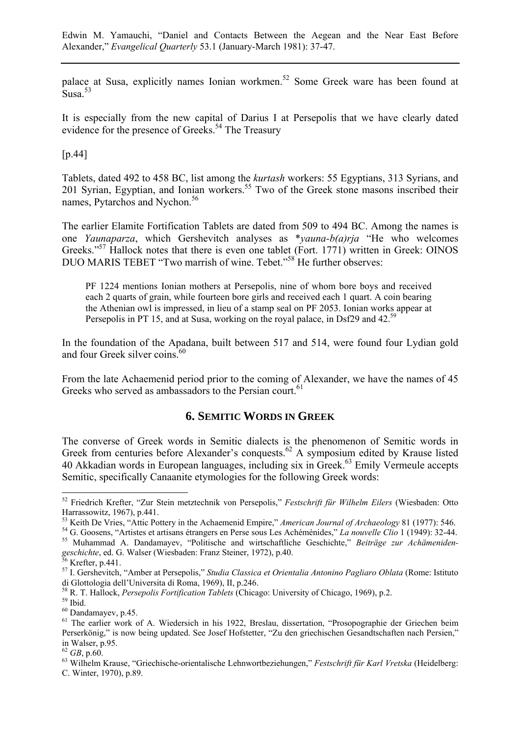palace at Susa, explicitly names Ionian workmen.52 Some Greek ware has been found at Susa.<sup>53</sup>

It is especially from the new capital of Darius I at Persepolis that we have clearly dated evidence for the presence of Greeks.<sup>54</sup> The Treasury

[p.44]

Tablets, dated 492 to 458 BC, list among the *kurtash* workers: 55 Egyptians, 313 Syrians, and 201 Syrian, Egyptian, and Ionian workers.<sup>55</sup> Two of the Greek stone masons inscribed their names, Pytarchos and Nychon.<sup>56</sup>

The earlier Elamite Fortification Tablets are dated from 509 to 494 BC. Among the names is one *Yaunaparza*, which Gershevitch analyses as \**yauna-b(a)rja* "He who welcomes Greeks."<sup>57</sup> Hallock notes that there is even one tablet (Fort. 1771) written in Greek: OINOS DUO MARIS TEBET "Two marrish of wine. Tebet."<sup>58</sup> He further observes:

PF 1224 mentions Ionian mothers at Persepolis, nine of whom bore boys and received each 2 quarts of grain, while fourteen bore girls and received each 1 quart. A coin bearing the Athenian owl is impressed, in lieu of a stamp seal on PF 2053. Ionian works appear at Persepolis in PT 15, and at Susa, working on the royal palace, in Dsf29 and 42.<sup>59</sup>

In the foundation of the Apadana, built between 517 and 514, were found four Lydian gold and four Greek silver coins.<sup>60</sup>

From the late Achaemenid period prior to the coming of Alexander, we have the names of 45 Greeks who served as ambassadors to the Persian court.<sup>61</sup>

## **6. SEMITIC WORDS IN GREEK**

The converse of Greek words in Semitic dialects is the phenomenon of Semitic words in Greek from centuries before Alexander's conquests.<sup>62</sup> A symposium edited by Krause listed 40 Akkadian words in European languages, including six in Greek.<sup>63</sup> Emily Vermeule accepts Semitic, specifically Canaanite etymologies for the following Greek words:

<sup>52</sup> Friedrich Krefter, "Zur Stein metztechnik von Persepolis," *Festschrift für Wilhelm Eilers* (Wiesbaden: Otto Harrassowitz, 1967), p.441.<br><sup>53</sup> Keith De Vries, "Attic Pottery in the Achaemenid Empire," *American Journal of Archaeology* 81 (1977): 546.

<sup>&</sup>lt;sup>54</sup> G. Goosens, "Artistes et artisans étrangers en Perse sous Les Achéménides," La nouvelle Clio 1 (1949): 32-44.<br><sup>55</sup> Muhammad A. Dandamayev, "Politische and wirtschaftliche Geschichte," Beiträge zur Achämeniden-

geschichte, ed. G. Walser (Wiesbaden: Franz Steiner, 1972), p.40.<br><sup>56</sup> Krefter, p.441.

<sup>57</sup> I. Gershevitch, "Amber at Persepolis," *Studia Classica et Orientalia Antonino Pagliaro Oblata* (Rome: Istituto di Glottologia dell'Universita di Roma, 1969), II, p.246.

<sup>&</sup>lt;sup>58</sup> R. T. Hallock, *Persepolis Fortification Tablets* (Chicago: University of Chicago, 1969), p.2. <sup>59</sup> Ibid.

<sup>60</sup> Dandamayev, p.45.

<sup>&</sup>lt;sup>61</sup> The earlier work of A. Wiedersich in his 1922, Breslau, dissertation, "Prosopographie der Griechen beim Perserkönig," is now being updated. See Josef Hofstetter, "Zu den griechischen Gesandtschaften nach Persien," in Walser, p.95.<br> $62$  GB, p.60.

<sup>&</sup>lt;sup>63</sup> Wilhelm Krause, "Griechische-orientalische Lehnwortbeziehungen," *Festschrift für Karl Vretska* (Heidelberg: C. Winter, 1970), p.89.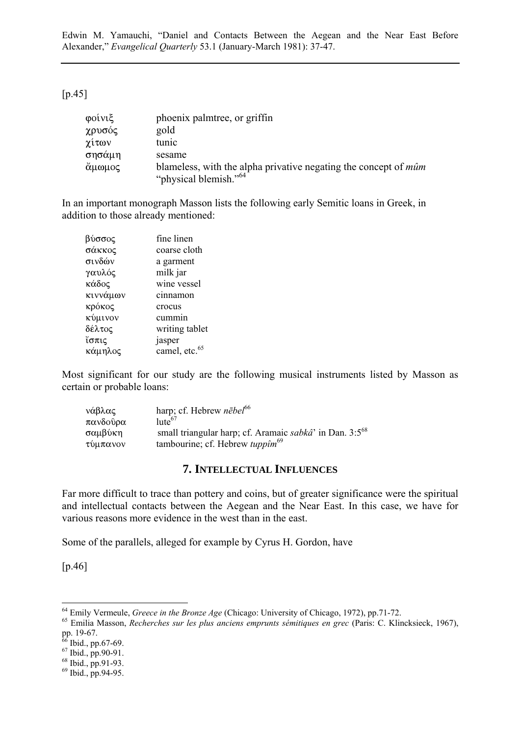### [p.45]

| φοίνιξ | phoenix palmetree, or griffin                                                                               |
|--------|-------------------------------------------------------------------------------------------------------------|
| χρυσός | gold                                                                                                        |
| χίτων  | tunic                                                                                                       |
| σησάμη | sesame                                                                                                      |
| άμωμος | blameless, with the alpha privative negating the concept of <i>mûm</i><br>"physical blemish." <sup>64</sup> |

In an important monograph Masson lists the following early Semitic loans in Greek, in addition to those already mentioned:

| βύσσος   | fine linen                |
|----------|---------------------------|
| σάκκος   | coarse cloth              |
| σινδών   | a garment                 |
| γαυλός   | milk jar                  |
| κάδος    | wine vessel               |
| κιννάμων | cinnamon                  |
| κρόκος   | crocus                    |
| κύμινον  | cummin                    |
| δέλτος   | writing tablet            |
| ἴσπις    | jasper                    |
| κάμηλος  | camel, etc. <sup>65</sup> |

Most significant for our study are the following musical instruments listed by Masson as certain or probable loans:

| νάβλας   | harp; cf. Hebrew $n\bar{e}be l^{66}$                         |
|----------|--------------------------------------------------------------|
| πανδοῦρα | $\text{lute}^{67}$                                           |
| σαμβύκη  | small triangular harp; cf. Aramaic sabkâ' in Dan. $3:5^{68}$ |
| τύμπανον | tambourine; cf. Hebrew <i>tuppim</i> <sup>69</sup>           |

### **7. INTELLECTUAL INFLUENCES**

Far more difficult to trace than pottery and coins, but of greater significance were the spiritual and intellectual contacts between the Aegean and the Near East. In this case, we have for various reasons more evidence in the west than in the east.

Some of the parallels, alleged for example by Cyrus H. Gordon, have

[p.46]

<sup>64</sup> Emily Vermeule, *Greece in the Bronze Age* (Chicago: University of Chicago, 1972), pp.71-72. 65 Emilia Masson, *Recherches sur les plus anciens emprunts sémitiques en grec* (Paris: C. Klincksieck, 1967), pp. 19-67.

 $66$  Ibid., pp.67-69.

<sup>67</sup> Ibid., pp.90-91.

<sup>68</sup> Ibid., pp.91-93.

 $^{69}$  Ibid., pp.94-95.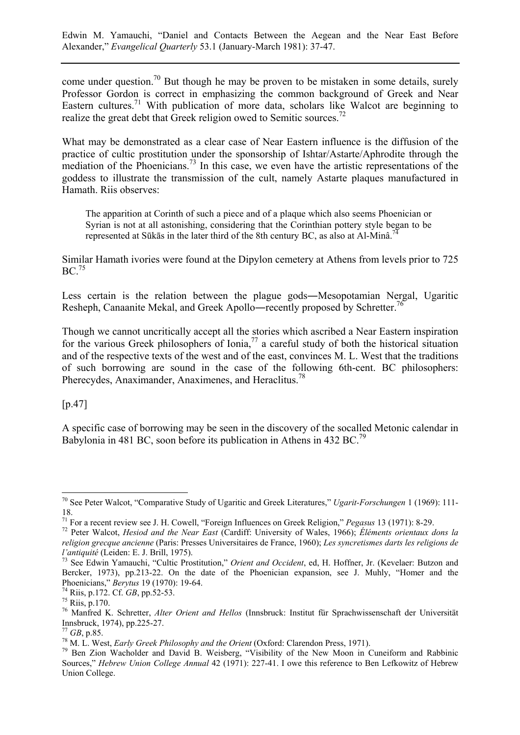come under question.<sup>70</sup> But though he may be proven to be mistaken in some details, surely Professor Gordon is correct in emphasizing the common background of Greek and Near Eastern cultures.<sup>71</sup> With publication of more data, scholars like Walcot are beginning to realize the great debt that Greek religion owed to Semitic sources.<sup>72</sup>

What may be demonstrated as a clear case of Near Eastern influence is the diffusion of the practice of cultic prostitution under the sponsorship of Ishtar/Astarte/Aphrodite through the mediation of the Phoenicians.<sup>73</sup> In this case, we even have the artistic representations of the goddess to illustrate the transmission of the cult, namely Astarte plaques manufactured in Hamath. Riis observes:

The apparition at Corinth of such a piece and of a plaque which also seems Phoenician or Syrian is not at all astonishing, considering that the Corinthian pottery style began to be represented at Sūkās in the later third of the 8th century BC, as also at Al-Minâ.<sup>7</sup>

Similar Hamath ivories were found at the Dipylon cemetery at Athens from levels prior to 725  $BC.<sup>75</sup>$ 

Less certain is the relation between the plague gods―Mesopotamian Nergal, Ugaritic Resheph, Canaanite Mekal, and Greek Apollo—recently proposed by Schretter.<sup>76</sup>

Though we cannot uncritically accept all the stories which ascribed a Near Eastern inspiration for the various Greek philosophers of Ionia,<sup>77</sup> a careful study of both the historical situation and of the respective texts of the west and of the east, convinces M. L. West that the traditions of such borrowing are sound in the case of the following 6th-cent. BC philosophers: Pherecydes, Anaximander, Anaximenes, and Heraclitus.78

[p.47]

 $\overline{a}$ 

A specific case of borrowing may be seen in the discovery of the socalled Metonic calendar in Babylonia in 481 BC, soon before its publication in Athens in 432 BC.<sup>79</sup>

<sup>70</sup> See Peter Walcot, "Comparative Study of Ugaritic and Greek Literatures," *Ugarit-Forschungen* 1 (1969): 111- 18.

<sup>&</sup>lt;sup>71</sup> For a recent review see J. H. Cowell, "Foreign Influences on Greek Religion," *Pegasus* 13 (1971): 8-29.<br><sup>72</sup> Peter Walcot, *Hesiod and the Near East* (Cardiff: University of Wales, 1966); *Éléments orientaux dons la religion grecque ancienne* (Paris: Presses Universitaires de France, 1960); *Les syncretismes darts les religions de l'antiquité* (Leiden: E. J. Brill, 1975).<br><sup>73</sup> See Edwin Yamauchi, "Cultic Prostitution," *Orient and Occident*, ed, H. Hoffner, Jr. (Kevelaer: Butzon and

Bercker, 1973), pp.213-22. On the date of the Phoenician expansion, see J. Muhly, "Homer and the Phoenicians," *Berytus* 19 (1970): 19-64. 74 Riis, p.172. Cf. *GB*, pp.52-53. 75 Riis, p.170.

<sup>76</sup> Manfred K. Schretter, *Alter Orient and Hellos* (Innsbruck: Institut für Sprachwissenschaft der Universität Innsbruck, 1974), pp.225-27.

<sup>&</sup>lt;sup>77</sup> *GB*, p.85.<br><sup>78</sup> M. L. West, *Early Greek Philosophy and the Orient* (Oxford: Clarendon Press, 1971).<br><sup>79</sup> Ben Zion Wacholder and David B. Weisberg, "Visibility of the New Moon in Cuneiform and Rabbinic Sources," *Hebrew Union College Annual* 42 (1971): 227-41. I owe this reference to Ben Lefkowitz of Hebrew Union College.